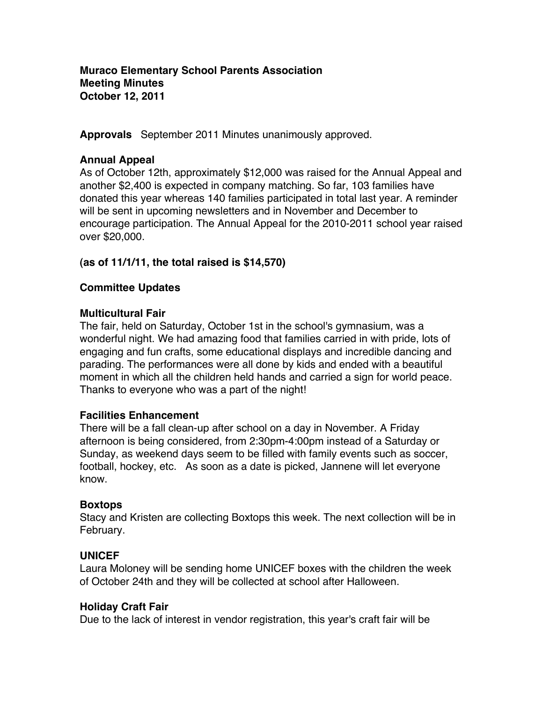**Muraco Elementary School Parents Association Meeting Minutes October 12, 2011**

**Approvals** September 2011 Minutes unanimously approved.

### **Annual Appeal**

As of October 12th, approximately \$12,000 was raised for the Annual Appeal and another \$2,400 is expected in company matching. So far, 103 families have donated this year whereas 140 families participated in total last year. A reminder will be sent in upcoming newsletters and in November and December to encourage participation. The Annual Appeal for the 2010-2011 school year raised over \$20,000.

### **(as of 11/1/11, the total raised is \$14,570)**

### **Committee Updates**

### **Multicultural Fair**

The fair, held on Saturday, October 1st in the school's gymnasium, was a wonderful night. We had amazing food that families carried in with pride, lots of engaging and fun crafts, some educational displays and incredible dancing and parading. The performances were all done by kids and ended with a beautiful moment in which all the children held hands and carried a sign for world peace. Thanks to everyone who was a part of the night!

### **Facilities Enhancement**

There will be a fall clean-up after school on a day in November. A Friday afternoon is being considered, from 2:30pm-4:00pm instead of a Saturday or Sunday, as weekend days seem to be filled with family events such as soccer, football, hockey, etc. As soon as a date is picked, Jannene will let everyone know.

### **Boxtops**

Stacy and Kristen are collecting Boxtops this week. The next collection will be in February.

### **UNICEF**

Laura Moloney will be sending home UNICEF boxes with the children the week of October 24th and they will be collected at school after Halloween.

### **Holiday Craft Fair**

Due to the lack of interest in vendor registration, this year's craft fair will be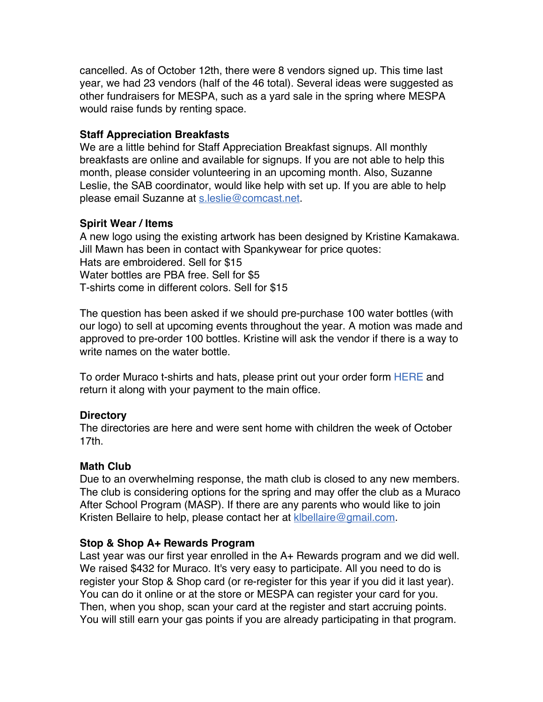cancelled. As of October 12th, there were 8 vendors signed up. This time last year, we had 23 vendors (half of the 46 total). Several ideas were suggested as other fundraisers for MESPA, such as a yard sale in the spring where MESPA would raise funds by renting space.

### **Staff Appreciation Breakfasts**

We are a little behind for Staff Appreciation Breakfast signups. All monthly breakfasts are online and available for signups. If you are not able to help this month, please consider volunteering in an upcoming month. Also, Suzanne Leslie, the SAB coordinator, would like help with set up. If you are able to help please email Suzanne at s.leslie@comcast.net.

### **Spirit Wear / Items**

A new logo using the existing artwork has been designed by Kristine Kamakawa. Jill Mawn has been in contact with Spankywear for price quotes: Hats are embroidered. Sell for \$15 Water bottles are PBA free. Sell for \$5 T-shirts come in different colors. Sell for \$15

The question has been asked if we should pre-purchase 100 water bottles (with our logo) to sell at upcoming events throughout the year. A motion was made and approved to pre-order 100 bottles. Kristine will ask the vendor if there is a way to write names on the water bottle.

To order Muraco t-shirts and hats, please print out your order form HERE and return it along with your payment to the main office.

# **Directory**

The directories are here and were sent home with children the week of October 17th.

# **Math Club**

Due to an overwhelming response, the math club is closed to any new members. The club is considering options for the spring and may offer the club as a Muraco After School Program (MASP). If there are any parents who would like to join Kristen Bellaire to help, please contact her at klbellaire@gmail.com.

# **Stop & Shop A+ Rewards Program**

Last year was our first year enrolled in the A+ Rewards program and we did well. We raised \$432 for Muraco. It's very easy to participate. All you need to do is register your Stop & Shop card (or re-register for this year if you did it last year). You can do it online or at the store or MESPA can register your card for you. Then, when you shop, scan your card at the register and start accruing points. You will still earn your gas points if you are already participating in that program.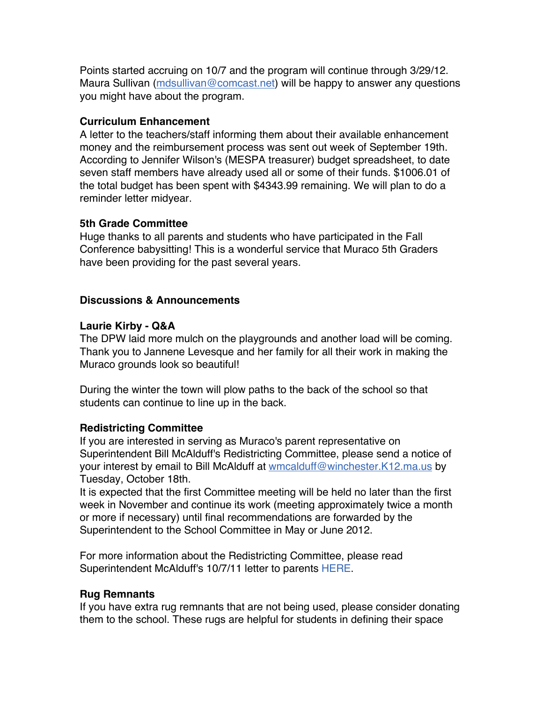Points started accruing on 10/7 and the program will continue through 3/29/12. Maura Sullivan (mdsullivan@comcast.net) will be happy to answer any questions you might have about the program.

### **Curriculum Enhancement**

A letter to the teachers/staff informing them about their available enhancement money and the reimbursement process was sent out week of September 19th. According to Jennifer Wilson's (MESPA treasurer) budget spreadsheet, to date seven staff members have already used all or some of their funds. \$1006.01 of the total budget has been spent with \$4343.99 remaining. We will plan to do a reminder letter midyear.

### **5th Grade Committee**

Huge thanks to all parents and students who have participated in the Fall Conference babysitting! This is a wonderful service that Muraco 5th Graders have been providing for the past several years.

# **Discussions & Announcements**

### **Laurie Kirby - Q&A**

The DPW laid more mulch on the playgrounds and another load will be coming. Thank you to Jannene Levesque and her family for all their work in making the Muraco grounds look so beautiful!

During the winter the town will plow paths to the back of the school so that students can continue to line up in the back.

# **Redistricting Committee**

If you are interested in serving as Muraco's parent representative on Superintendent Bill McAlduff's Redistricting Committee, please send a notice of your interest by email to Bill McAlduff at wmcalduff@winchester.K12.ma.us by Tuesday, October 18th.

It is expected that the first Committee meeting will be held no later than the first week in November and continue its work (meeting approximately twice a month or more if necessary) until final recommendations are forwarded by the Superintendent to the School Committee in May or June 2012.

For more information about the Redistricting Committee, please read Superintendent McAlduff's 10/7/11 letter to parents HERE.

# **Rug Remnants**

If you have extra rug remnants that are not being used, please consider donating them to the school. These rugs are helpful for students in defining their space